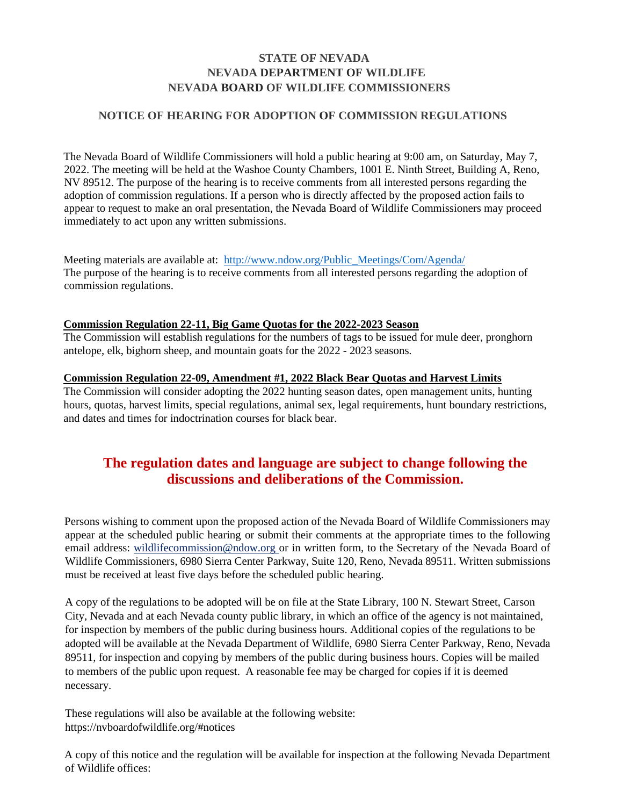### **STATE OF NEVADA NEVADA DEPARTMENT OF WILDLIFE NEVADA BOARD OF WILDLIFE COMMISSIONERS**

### **NOTICE OF HEARING FOR ADOPTION OF COMMISSION REGULATIONS**

The Nevada Board of Wildlife Commissioners will hold a public hearing at 9:00 am, on Saturday, May 7, 2022. The meeting will be held at the Washoe County Chambers, 1001 E. Ninth Street, Building A, Reno, NV 89512. The purpose of the hearing is to receive comments from all interested persons regarding the adoption of commission regulations. If a person who is directly affected by the proposed action fails to appear to request to make an oral presentation, the Nevada Board of Wildlife Commissioners may proceed immediately to act upon any written submissions.

Meeting materials are available at: http://www.ndow.org/Public\_Meetings/Com/Agenda/ The purpose of the hearing is to receive comments from all interested persons regarding the adoption of commission regulations.

### **Commission Regulation 22-11, Big Game Quotas for the 2022-2023 Season**

 The Commission will establish regulations for the numbers of tags to be issued for mule deer, pronghorn antelope, elk, bighorn sheep, and mountain goats for the 2022 - 2023 seasons.

### **Commission Regulation 22-09, Amendment #1, 2022 Black Bear Quotas and Harvest Limits**

The Commission will consider adopting the 2022 hunting season dates, open management units, hunting hours, quotas, harvest limits, special regulations, animal sex, legal requirements, hunt boundary restrictions, and dates and times for indoctrination courses for black bear.

## **The regulation dates and language are subject to change following the discussions and deliberations of the Commission.**

 Persons wishing to comment upon the proposed action of the Nevada Board of Wildlife Commissioners may appear at the scheduled public hearing or submit their comments at the appropriate times to the following email address: [wildlifecommission@ndow.org](mailto:wildlifecommission@ndow.org) or in written form, to the Secretary of the Nevada Board of Wildlife Commissioners, 6980 Sierra Center Parkway, Suite 120, Reno, Nevada 89511. Written submissions must be received at least five days before the scheduled public hearing.

 89511, for inspection and copying by members of the public during business hours. Copies will be mailed to members of the public upon request. A reasonable fee may be charged for copies if it is deemed A copy of the regulations to be adopted will be on file at the State Library, 100 N. Stewart Street, Carson City, Nevada and at each Nevada county public library, in which an office of the agency is not maintained, for inspection by members of the public during business hours. Additional copies of the regulations to be adopted will be available at the Nevada Department of Wildlife, 6980 Sierra Center Parkway, Reno, Nevada necessary.

These regulations will also be available at the following website: <https://nvboardofwildlife.org/#notices>

A copy of this notice and the regulation will be available for inspection at the following Nevada Department of Wildlife offices: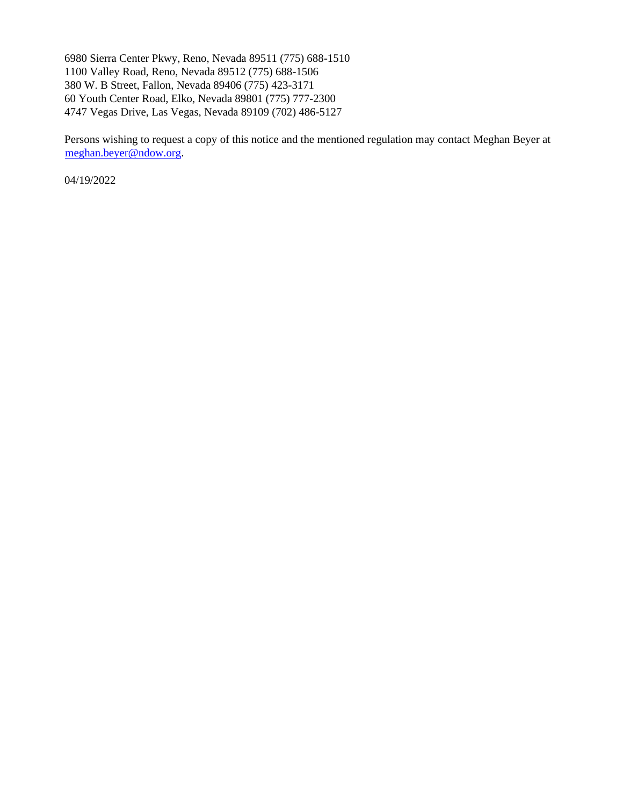6980 Sierra Center Pkwy, Reno, Nevada 89511 (775) 688-1510 1100 Valley Road, Reno, Nevada 89512 (775) 688-1506 380 W. B Street, Fallon, Nevada 89406 (775) 423-3171 60 Youth Center Road, Elko, Nevada 89801 (775) 777-2300 4747 Vegas Drive, Las Vegas, Nevada 89109 (702) 486-5127

Persons wishing to request a copy of this notice and the mentioned regulation may contact Meghan Beyer at [meghan.beyer@ndow.org](mailto:meghan.beyer@ndow.org).

04/19/2022